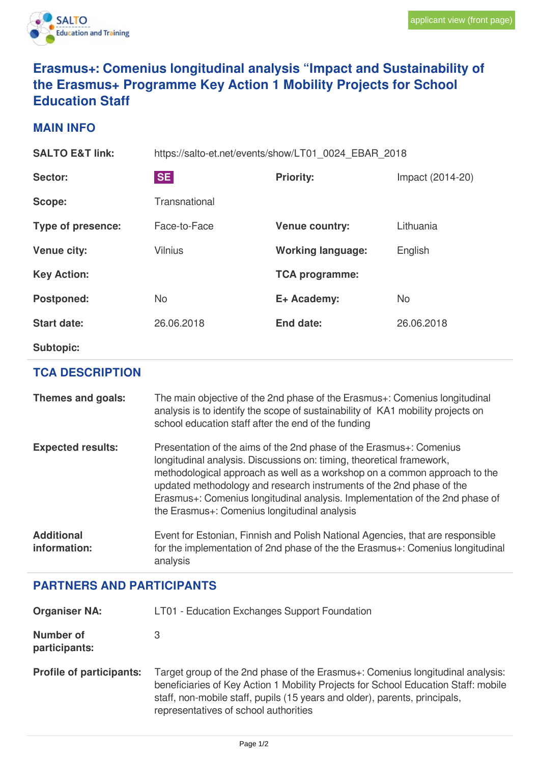

## **Erasmus+: Comenius longitudinal analysis "Impact and Sustainability of the Erasmus+ Programme Key Action 1 Mobility Projects for School Education Staff**

## **MAIN INFO**

| <b>SALTO E&amp;T link:</b> | https://salto-et.net/events/show/LT01 0024 EBAR 2018 |                          |                  |
|----------------------------|------------------------------------------------------|--------------------------|------------------|
| Sector:                    | <b>SE</b>                                            | <b>Priority:</b>         | Impact (2014-20) |
| Scope:                     | Transnational                                        |                          |                  |
| Type of presence:          | Face-to-Face                                         | <b>Venue country:</b>    | Lithuania        |
| <b>Venue city:</b>         | <b>Vilnius</b>                                       | <b>Working language:</b> | English          |
| <b>Key Action:</b>         |                                                      | <b>TCA programme:</b>    |                  |
| <b>Postponed:</b>          | <b>No</b>                                            | E+ Academy:              | <b>No</b>        |
| <b>Start date:</b>         | 26.06.2018                                           | <b>End date:</b>         | 26.06.2018       |
| <b>Subtopic:</b>           |                                                      |                          |                  |

## **TCA DESCRIPTION**

| Themes and goals:                 | The main objective of the 2nd phase of the Erasmus+: Comenius longitudinal<br>analysis is to identify the scope of sustainability of KA1 mobility projects on<br>school education staff after the end of the funding                                                                                                                                                                                                              |
|-----------------------------------|-----------------------------------------------------------------------------------------------------------------------------------------------------------------------------------------------------------------------------------------------------------------------------------------------------------------------------------------------------------------------------------------------------------------------------------|
| <b>Expected results:</b>          | Presentation of the aims of the 2nd phase of the Erasmus+: Comenius<br>longitudinal analysis. Discussions on: timing, theoretical framework,<br>methodological approach as well as a workshop on a common approach to the<br>updated methodology and research instruments of the 2nd phase of the<br>Erasmus+: Comenius longitudinal analysis. Implementation of the 2nd phase of<br>the Erasmus+: Comenius longitudinal analysis |
| <b>Additional</b><br>information: | Event for Estonian, Finnish and Polish National Agencies, that are responsible<br>for the implementation of 2nd phase of the the Erasmus+: Comenius longitudinal<br>analysis                                                                                                                                                                                                                                                      |

## **PARTNERS AND PARTICIPANTS**

| <b>Organiser NA:</b>            | LT01 - Education Exchanges Support Foundation                                                                                                                                                                                                                                               |  |
|---------------------------------|---------------------------------------------------------------------------------------------------------------------------------------------------------------------------------------------------------------------------------------------------------------------------------------------|--|
| Number of<br>participants:      | З                                                                                                                                                                                                                                                                                           |  |
| <b>Profile of participants:</b> | Target group of the 2nd phase of the Erasmus+: Comenius longitudinal analysis:<br>beneficiaries of Key Action 1 Mobility Projects for School Education Staff: mobile<br>staff, non-mobile staff, pupils (15 years and older), parents, principals,<br>representatives of school authorities |  |